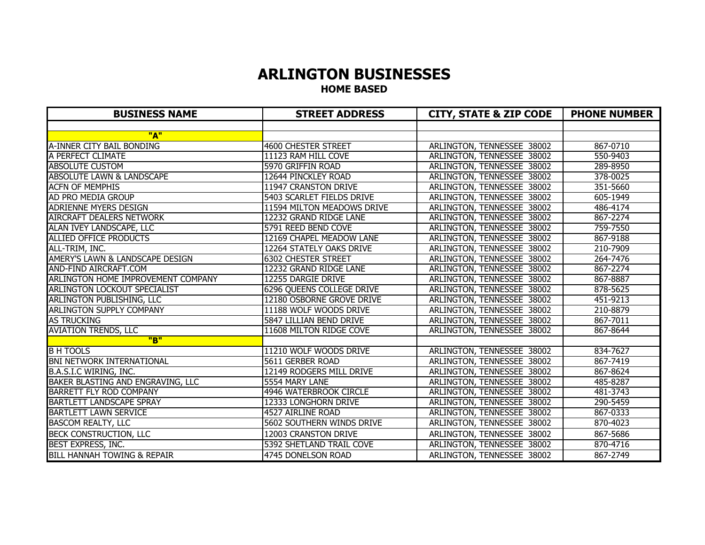# **ARLINGTON BUSINESSES HOME BASED**

| <b>BUSINESS NAME</b>                   | <b>STREET ADDRESS</b>            | <b>CITY, STATE &amp; ZIP CODE</b> | <b>PHONE NUMBER</b> |
|----------------------------------------|----------------------------------|-----------------------------------|---------------------|
|                                        |                                  |                                   |                     |
| "A"                                    |                                  |                                   |                     |
| A-INNER CITY BAIL BONDING              | <b>4600 CHESTER STREET</b>       | ARLINGTON, TENNESSEE 38002        | 867-0710            |
| A PERFECT CLIMATE                      | 11123 RAM HILL COVE              | ARLINGTON, TENNESSEE 38002        | 550-9403            |
| <b>ABSOLUTE CUSTOM</b>                 | 5970 GRIFFIN ROAD                | ARLINGTON, TENNESSEE 38002        | 289-8950            |
| <b>ABSOLUTE LAWN &amp; LANDSCAPE</b>   | 12644 PINCKLEY ROAD              | ARLINGTON, TENNESSEE 38002        | 378-0025            |
| <b>ACFN OF MEMPHIS</b>                 | 11947 CRANSTON DRIVE             | ARLINGTON, TENNESSEE 38002        | 351-5660            |
| AD PRO MEDIA GROUP                     | 5403 SCARLET FIELDS DRIVE        | ARLINGTON, TENNESSEE 38002        | 605-1949            |
| <b>ADRIENNE MYERS DESIGN</b>           | 11594 MILTON MEADOWS DRIVE       | ARLINGTON, TENNESSEE 38002        | 486-4174            |
| <b>AIRCRAFT DEALERS NETWORK</b>        | 12232 GRAND RIDGE LANE           | ARLINGTON, TENNESSEE 38002        | 867-2274            |
| ALAN IVEY LANDSCAPE, LLC               | 5791 REED BEND COVE              | ARLINGTON, TENNESSEE 38002        | 759-7550            |
| <b>ALLIED OFFICE PRODUCTS</b>          | 12169 CHAPEL MEADOW LANE         | ARLINGTON, TENNESSEE 38002        | 867-9188            |
| ALL-TRIM, INC.                         | 12264 STATELY OAKS DRIVE         | ARLINGTON, TENNESSEE 38002        | 210-7909            |
| AMERY'S LAWN & LANDSCAPE DESIGN        | <b>6302 CHESTER STREET</b>       | ARLINGTON, TENNESSEE 38002        | 264-7476            |
| AND-FIND AIRCRAFT.COM                  | 12232 GRAND RIDGE LANE           | ARLINGTON, TENNESSEE 38002        | 867-2274            |
| ARLINGTON HOME IMPROVEMENT COMPANY     | 12255 DARGIE DRIVE               | ARLINGTON, TENNESSEE 38002        | 867-8887            |
| <b>ARLINGTON LOCKOUT SPECIALIST</b>    | <b>6296 QUEENS COLLEGE DRIVE</b> | ARLINGTON, TENNESSEE 38002        | 878-5625            |
| <b>ARLINGTON PUBLISHING, LLC</b>       | 12180 OSBORNE GROVE DRIVE        | ARLINGTON, TENNESSEE 38002        | 451-9213            |
| <b>ARLINGTON SUPPLY COMPANY</b>        | 11188 WOLF WOODS DRIVE           | ARLINGTON, TENNESSEE 38002        | 210-8879            |
| <b>AS TRUCKING</b>                     | 5847 LILLIAN BEND DRIVE          | ARLINGTON, TENNESSEE 38002        | 867-7011            |
| <b>AVIATION TRENDS, LLC</b>            | 11608 MILTON RIDGE COVE          | ARLINGTON, TENNESSEE 38002        | 867-8644            |
| "B"                                    |                                  |                                   |                     |
| <b>B H TOOLS</b>                       | 11210 WOLF WOODS DRIVE           | ARLINGTON, TENNESSEE 38002        | 834-7627            |
| <b>BNI NETWORK INTERNATIONAL</b>       | 5611 GERBER ROAD                 | ARLINGTON, TENNESSEE 38002        | 867-7419            |
| B.A.S.I.C WIRING, INC.                 | 12149 RODGERS MILL DRIVE         | ARLINGTON, TENNESSEE 38002        | 867-8624            |
| BAKER BLASTING AND ENGRAVING, LLC      | 5554 MARY LANE                   | ARLINGTON, TENNESSEE 38002        | 485-8287            |
| <b>BARRETT FLY ROD COMPANY</b>         | 4946 WATERBROOK CIRCLE           | ARLINGTON, TENNESSEE 38002        | 481-3743            |
| <b>BARTLETT LANDSCAPE SPRAY</b>        | 12333 LONGHORN DRIVE             | ARLINGTON, TENNESSEE 38002        | 290-5459            |
| <b>BARTLETT LAWN SERVICE</b>           | 4527 AIRLINE ROAD                | ARLINGTON, TENNESSEE 38002        | 867-0333            |
| <b>BASCOM REALTY, LLC</b>              | 5602 SOUTHERN WINDS DRIVE        | ARLINGTON, TENNESSEE 38002        | 870-4023            |
| BECK CONSTRUCTION, LLC                 | 12003 CRANSTON DRIVE             | ARLINGTON, TENNESSEE 38002        | 867-5686            |
| BEST EXPRESS, INC.                     | 5392 SHETLAND TRAIL COVE         | ARLINGTON, TENNESSEE 38002        | 870-4716            |
| <b>BILL HANNAH TOWING &amp; REPAIR</b> | 4745 DONELSON ROAD               | ARLINGTON, TENNESSEE 38002        | 867-2749            |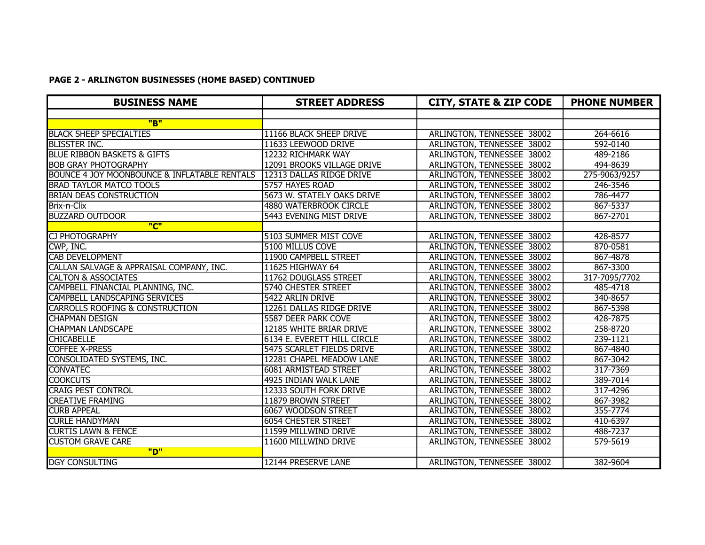# **PAGE 2 - ARLINGTON BUSINESSES (HOME BASED) CONTINUED**

| <b>BUSINESS NAME</b>                                    | <b>STREET ADDRESS</b>         | <b>CITY, STATE &amp; ZIP CODE</b> | <b>PHONE NUMBER</b> |
|---------------------------------------------------------|-------------------------------|-----------------------------------|---------------------|
|                                                         |                               |                                   |                     |
| "B"                                                     |                               |                                   |                     |
| <b>BLACK SHEEP SPECIALTIES</b>                          | 11166 BLACK SHEEP DRIVE       | ARLINGTON, TENNESSEE 38002        | 264-6616            |
| <b>BLISSTER INC.</b>                                    | 11633 LEEWOOD DRIVE           | ARLINGTON, TENNESSEE 38002        | 592-0140            |
| <b>BLUE RIBBON BASKETS &amp; GIFTS</b>                  | 12232 RICHMARK WAY            | ARLINGTON, TENNESSEE 38002        | 489-2186            |
| <b>BOB GRAY PHOTOGRAPHY</b>                             | 12091 BROOKS VILLAGE DRIVE    | ARLINGTON, TENNESSEE 38002        | 494-8639            |
| <b>BOUNCE 4 JOY MOONBOUNCE &amp; INFLATABLE RENTALS</b> | 12313 DALLAS RIDGE DRIVE      | ARLINGTON, TENNESSEE 38002        | 275-9063/9257       |
| <b>BRAD TAYLOR MATCO TOOLS</b>                          | 5757 HAYES ROAD               | ARLINGTON, TENNESSEE 38002        | 246-3546            |
| <b>BRIAN DEAS CONSTRUCTION</b>                          | 5673 W. STATELY OAKS DRIVE    | ARLINGTON, TENNESSEE 38002        | 786-4477            |
| Brix-n-Clix                                             | <b>4880 WATERBROOK CIRCLE</b> | ARLINGTON, TENNESSEE 38002        | 867-5337            |
| <b>BUZZARD OUTDOOR</b>                                  | 5443 EVENING MIST DRIVE       | ARLINGTON, TENNESSEE 38002        | 867-2701            |
| "C"                                                     |                               |                                   |                     |
| <b>CJ PHOTOGRAPHY</b>                                   | 5103 SUMMER MIST COVE         | ARLINGTON, TENNESSEE 38002        | 428-8577            |
| CWP, INC.                                               | 5100 MILLUS COVE              | ARLINGTON, TENNESSEE 38002        | 870-0581            |
| <b>CAB DEVELOPMENT</b>                                  | 11900 CAMPBELL STREET         | ARLINGTON, TENNESSEE 38002        | 867-4878            |
| CALLAN SALVAGE & APPRAISAL COMPANY, INC.                | 11625 HIGHWAY 64              | ARLINGTON, TENNESSEE 38002        | 867-3300            |
| <b>CALTON &amp; ASSOCIATES</b>                          | 11762 DOUGLASS STREET         | ARLINGTON, TENNESSEE 38002        | 317-7095/7702       |
| CAMPBELL FINANCIAL PLANNING, INC.                       | 5740 CHESTER STREET           | ARLINGTON, TENNESSEE 38002        | 485-4718            |
| <b>CAMPBELL LANDSCAPING SERVICES</b>                    | 5422 ARLIN DRIVE              | ARLINGTON, TENNESSEE 38002        | 340-8657            |
| <b>CARROLLS ROOFING &amp; CONSTRUCTION</b>              | 12261 DALLAS RIDGE DRIVE      | ARLINGTON, TENNESSEE 38002        | 867-5398            |
| <b>CHAPMAN DESIGN</b>                                   | <b>5587 DEER PARK COVE</b>    | ARLINGTON, TENNESSEE 38002        | 428-7875            |
| <b>CHAPMAN LANDSCAPE</b>                                | 12185 WHITE BRIAR DRIVE       | ARLINGTON, TENNESSEE 38002        | 258-8720            |
| <b>CHICABELLE</b>                                       | 6134 E. EVERETT HILL CIRCLE   | ARLINGTON, TENNESSEE 38002        | 239-1121            |
| <b>COFFEE X-PRESS</b>                                   | 5475 SCARLET FIELDS DRIVE     | ARLINGTON, TENNESSEE 38002        | 867-4840            |
| CONSOLIDATED SYSTEMS, INC.                              | 12281 CHAPEL MEADOW LANE      | ARLINGTON, TENNESSEE 38002        | 867-3042            |
| <b>CONVATEC</b>                                         | <b>6081 ARMISTEAD STREET</b>  | ARLINGTON, TENNESSEE 38002        | 317-7369            |
| <b>COOKCUTS</b>                                         | 4925 INDIAN WALK LANE         | ARLINGTON, TENNESSEE 38002        | 389-7014            |
| <b>CRAIG PEST CONTROL</b>                               | 12333 SOUTH FORK DRIVE        | ARLINGTON, TENNESSEE 38002        | 317-4296            |
| <b>CREATIVE FRAMING</b>                                 | 11879 BROWN STREET            | ARLINGTON, TENNESSEE 38002        | 867-3982            |
| <b>CURB APPEAL</b>                                      | 6067 WOODSON STREET           | ARLINGTON, TENNESSEE 38002        | 355-7774            |
| <b>CURLE HANDYMAN</b>                                   | <b>6054 CHESTER STREET</b>    | ARLINGTON, TENNESSEE 38002        | 410-6397            |
| <b>CURTIS LAWN &amp; FENCE</b>                          | 11599 MILLWIND DRIVE          | ARLINGTON, TENNESSEE 38002        | 488-7237            |
| <b>CUSTOM GRAVE CARE</b>                                | 11600 MILLWIND DRIVE          | ARLINGTON, TENNESSEE 38002        | 579-5619            |
| "D"                                                     |                               |                                   |                     |
| <b>DGY CONSULTING</b>                                   | 12144 PRESERVE LANE           | ARLINGTON, TENNESSEE 38002        | 382-9604            |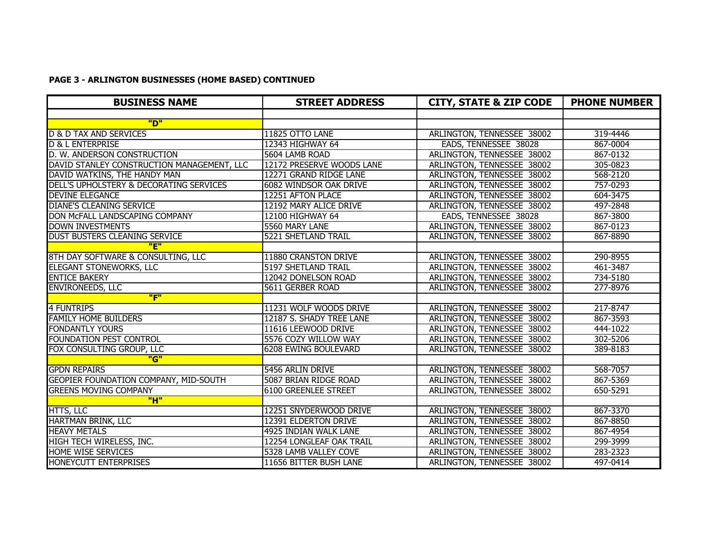# **PAGE 3 - ARLINGTON BUSINESSES (HOME BASED) CONTINUED**

| <b>BUSINESS NAME</b>                       | <b>STREET ADDRESS</b>       | <b>CITY, STATE &amp; ZIP CODE</b> | <b>PHONE NUMBER</b> |
|--------------------------------------------|-----------------------------|-----------------------------------|---------------------|
|                                            |                             |                                   |                     |
| "מ                                         |                             |                                   |                     |
| <b>D &amp; D TAX AND SERVICES</b>          | 11825 OTTO LANE             | ARLINGTON, TENNESSEE 38002        | 319-4446            |
| <b>D &amp; L ENTERPRISE</b>                | 12343 HIGHWAY 64            | EADS, TENNESSEE 38028             | 867-0004            |
| D. W. ANDERSON CONSTRUCTION                | 5604 LAMB ROAD              | ARLINGTON, TENNESSEE 38002        | 867-0132            |
| DAVID STANLEY CONSTRUCTION MANAGEMENT, LLC | 12172 PRESERVE WOODS LANE   | ARLINGTON, TENNESSEE 38002        | 305-0823            |
| DAVID WATKINS, THE HANDY MAN               | 12271 GRAND RIDGE LANE      | ARLINGTON, TENNESSEE 38002        | 568-2120            |
| DELL'S UPHOLSTERY & DECORATING SERVICES    | 6082 WINDSOR OAK DRIVE      | ARLINGTON, TENNESSEE 38002        | 757-0293            |
| <b>DEVINE ELEGANCE</b>                     | 12251 AFTON PLACE           | ARLINGTON, TENNESSEE 38002        | 604-3475            |
| <b>DIANE'S CLEANING SERVICE</b>            | 12192 MARY ALICE DRIVE      | ARLINGTON, TENNESSEE 38002        | 497-2848            |
| DON MCFALL LANDSCAPING COMPANY             | 12100 HIGHWAY 64            | EADS, TENNESSEE 38028             | 867-3800            |
| <b>DOWN INVESTMENTS</b>                    | 5560 MARY LANE              | ARLINGTON, TENNESSEE 38002        | 867-0123            |
| <b>DUST BUSTERS CLEANING SERVICE</b>       | <b>5221 SHETLAND TRAIL</b>  | ARLINGTON, TENNESSEE 38002        | 867-8890            |
| "E"                                        |                             |                                   |                     |
| 8TH DAY SOFTWARE & CONSULTING, LLC         | 11880 CRANSTON DRIVE        | ARLINGTON, TENNESSEE 38002        | 290-8955            |
| <b>ELEGANT STONEWORKS, LLC</b>             | 5197 SHETLAND TRAIL         | ARLINGTON, TENNESSEE 38002        | 461-3487            |
| <b>ENTICE BAKERY</b>                       | 12042 DONELSON ROAD         | ARLINGTON, TENNESSEE 38002        | 734-5180            |
| <b>ENVIRONEEDS, LLC</b>                    | 5611 GERBER ROAD            | ARLINGTON, TENNESSEE 38002        | 277-8976            |
| "F"                                        |                             |                                   |                     |
| <b>4 FUNTRIPS</b>                          | 11231 WOLF WOODS DRIVE      | ARLINGTON, TENNESSEE 38002        | 217-8747            |
| <b>FAMILY HOME BUILDERS</b>                | 12187 S. SHADY TREE LANE    | ARLINGTON, TENNESSEE 38002        | 867-3593            |
| <b>FONDANTLY YOURS</b>                     | 11616 LEEWOOD DRIVE         | ARLINGTON, TENNESSEE 38002        | 444-1022            |
| <b>FOUNDATION PEST CONTROL</b>             | 5576 COZY WILLOW WAY        | ARLINGTON, TENNESSEE 38002        | 302-5206            |
| FOX CONSULTING GROUP, LLC                  | <b>6208 EWING BOULEVARD</b> | ARLINGTON, TENNESSEE 38002        | 389-8183            |
| "G"                                        |                             |                                   |                     |
| <b>GPDN REPAIRS</b>                        | 5456 ARLIN DRIVE            | ARLINGTON, TENNESSEE 38002        | 568-7057            |
| GEOPIER FOUNDATION COMPANY, MID-SOUTH      | 5087 BRIAN RIDGE ROAD       | ARLINGTON, TENNESSEE 38002        | 867-5369            |
| <b>GREENS MOVING COMPANY</b>               | <b>6100 GREENLEE STREET</b> | ARLINGTON, TENNESSEE 38002        | 650-5291            |
| "H"                                        |                             |                                   |                     |
| <b>HTTS, LLC</b>                           | 12251 SNYDERWOOD DRIVE      | ARLINGTON, TENNESSEE 38002        | 867-3370            |
| <b>HARTMAN BRINK, LLC</b>                  | 12391 ELDERTON DRIVE        | ARLINGTON, TENNESSEE 38002        | 867-8850            |
| <b>HEAVY METALS</b>                        | 4925 INDIAN WALK LANE       | ARLINGTON, TENNESSEE 38002        | 867-4954            |
| HIGH TECH WIRELESS, INC.                   | 12254 LONGLEAF OAK TRAIL    | ARLINGTON, TENNESSEE 38002        | 299-3999            |
| <b>HOME WISE SERVICES</b>                  | 5328 LAMB VALLEY COVE       | ARLINGTON, TENNESSEE 38002        | 283-2323            |
| <b>HONEYCUTT ENTERPRISES</b>               | 11656 BITTER BUSH LANE      | ARLINGTON, TENNESSEE 38002        | 497-0414            |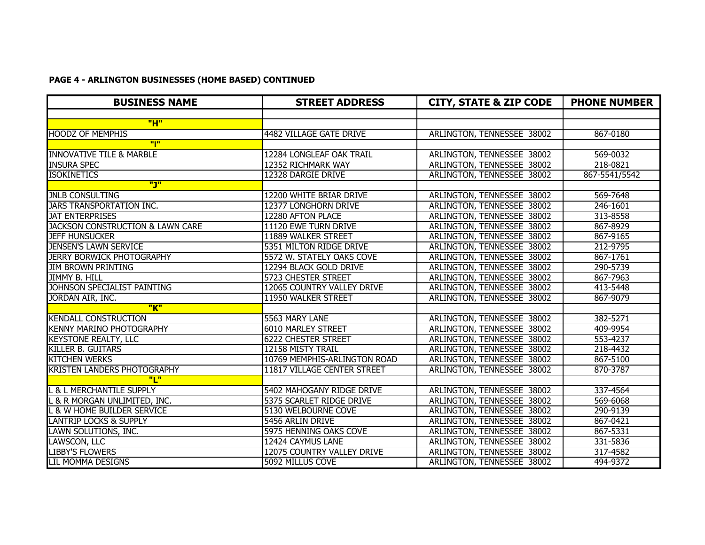# **PAGE 4 - ARLINGTON BUSINESSES (HOME BASED) CONTINUED**

| <b>BUSINESS NAME</b>                        | <b>STREET ADDRESS</b>        | <b>CITY, STATE &amp; ZIP CODE</b> | <b>PHONE NUMBER</b> |
|---------------------------------------------|------------------------------|-----------------------------------|---------------------|
|                                             |                              |                                   |                     |
| "H"                                         |                              |                                   |                     |
| <b>HOODZ OF MEMPHIS</b>                     | 4482 VILLAGE GATE DRIVE      | ARLINGTON, TENNESSEE 38002        | 867-0180            |
| "I"                                         |                              |                                   |                     |
| <b>INNOVATIVE TILE &amp; MARBLE</b>         | 12284 LONGLEAF OAK TRAIL     | ARLINGTON, TENNESSEE 38002        | 569-0032            |
| <b>INSURA SPEC</b>                          | 12352 RICHMARK WAY           | ARLINGTON, TENNESSEE 38002        | 218-0821            |
| <b>ISOKINETICS</b>                          | 12328 DARGIE DRIVE           | ARLINGTON, TENNESSEE 38002        | 867-5541/5542       |
| <u>"J"</u>                                  |                              |                                   |                     |
| <b>JNLB CONSULTING</b>                      | 12200 WHITE BRIAR DRIVE      | ARLINGTON, TENNESSEE 38002        | 569-7648            |
| <b>JARS TRANSPORTATION INC.</b>             | 12377 LONGHORN DRIVE         | ARLINGTON, TENNESSEE 38002        | 246-1601            |
| <b>JAT ENTERPRISES</b>                      | 12280 AFTON PLACE            | <b>ARLINGTON, TENNESSEE 38002</b> | 313-8558            |
| <b>JACKSON CONSTRUCTION &amp; LAWN CARE</b> | 11120 EWE TURN DRIVE         | ARLINGTON, TENNESSEE 38002        | 867-8929            |
| <b>JEFF HUNSUCKER</b>                       | 11889 WALKER STREET          | ARLINGTON, TENNESSEE 38002        | 867-9165            |
| <b>JENSEN'S LAWN SERVICE</b>                | 5351 MILTON RIDGE DRIVE      | ARLINGTON, TENNESSEE 38002        | 212-9795            |
| <b>JERRY BORWICK PHOTOGRAPHY</b>            | 5572 W. STATELY OAKS COVE    | ARLINGTON, TENNESSEE 38002        | $867 - 1761$        |
| <b>JIM BROWN PRINTING</b>                   | 12294 BLACK GOLD DRIVE       | ARLINGTON, TENNESSEE 38002        | 290-5739            |
| <b>JIMMY B. HILL</b>                        | <b>5723 CHESTER STREET</b>   | ARLINGTON, TENNESSEE 38002        | 867-7963            |
| JOHNSON SPECIALIST PAINTING                 | 12065 COUNTRY VALLEY DRIVE   | ARLINGTON, TENNESSEE 38002        | 413-5448            |
| JORDAN AIR, INC.                            | 11950 WALKER STREET          | ARLINGTON, TENNESSEE 38002        | 867-9079            |
| "K"                                         |                              |                                   |                     |
| <b>KENDALL CONSTRUCTION</b>                 | 5563 MARY LANE               | ARLINGTON, TENNESSEE 38002        | 382-5271            |
| <b>KENNY MARINO PHOTOGRAPHY</b>             | <b>6010 MARLEY STREET</b>    | ARLINGTON, TENNESSEE 38002        | 409-9954            |
| <b>KEYSTONE REALTY, LLC</b>                 | <b>6222 CHESTER STREET</b>   | ARLINGTON, TENNESSEE 38002        | 553-4237            |
| <b>KILLER B. GUITARS</b>                    | 12158 MISTY TRAIL            | ARLINGTON, TENNESSEE 38002        | 218-4432            |
| <b>KITCHEN WERKS</b>                        | 10769 MEMPHIS-ARLINGTON ROAD | ARLINGTON, TENNESSEE 38002        | 867-5100            |
| <b>KRISTEN LANDERS PHOTOGRAPHY</b>          | 11817 VILLAGE CENTER STREET  | ARLINGTON, TENNESSEE 38002        | 870-3787            |
| "L"                                         |                              |                                   |                     |
| L & L MERCHANTILE SUPPLY                    | 5402 MAHOGANY RIDGE DRIVE    | ARLINGTON, TENNESSEE 38002        | 337-4564            |
| L & R MORGAN UNLIMITED, INC.                | 5375 SCARLET RIDGE DRIVE     | ARLINGTON, TENNESSEE 38002        | 569-6068            |
| L & W HOME BUILDER SERVICE                  | <b>5130 WELBOURNE COVE</b>   | ARLINGTON, TENNESSEE 38002        | 290-9139            |
| <b>LANTRIP LOCKS &amp; SUPPLY</b>           | 5456 ARLIN DRIVE             | ARLINGTON, TENNESSEE 38002        | 867-0421            |
| LAWN SOLUTIONS, INC.                        | 5975 HENNING OAKS COVE       | ARLINGTON, TENNESSEE 38002        | 867-5331            |
| LAWSCON, LLC                                | 12424 CAYMUS LANE            | ARLINGTON, TENNESSEE 38002        | 331-5836            |
| <b>LIBBY'S FLOWERS</b>                      | 12075 COUNTRY VALLEY DRIVE   | ARLINGTON, TENNESSEE 38002        | 317-4582            |
| <b>LIL MOMMA DESIGNS</b>                    | 5092 MILLUS COVE             | ARLINGTON, TENNESSEE 38002        | 494-9372            |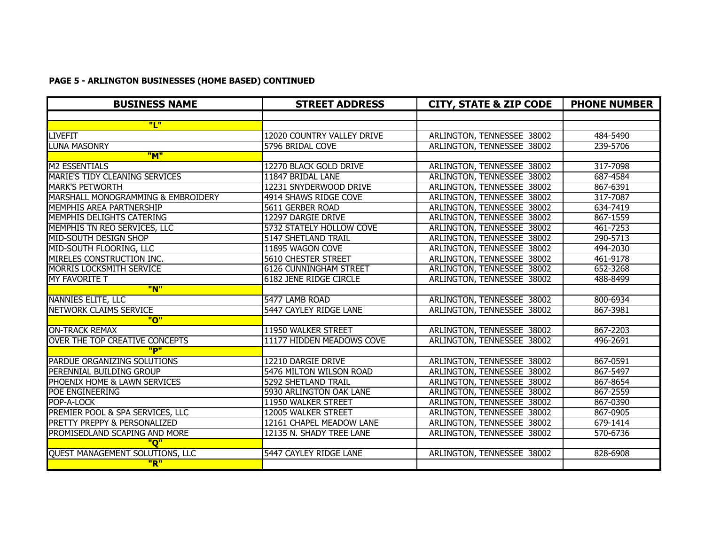#### **PAGE 5 - ARLINGTON BUSINESSES (HOME BASED) CONTINUED**

| <b>BUSINESS NAME</b>                   | <b>STREET ADDRESS</b>         | <b>CITY, STATE &amp; ZIP CODE</b> | <b>PHONE NUMBER</b> |
|----------------------------------------|-------------------------------|-----------------------------------|---------------------|
|                                        |                               |                                   |                     |
| "L"                                    |                               |                                   |                     |
| <b>LIVEFIT</b>                         | 12020 COUNTRY VALLEY DRIVE    | ARLINGTON, TENNESSEE 38002        | 484-5490            |
| <b>LUNA MASONRY</b>                    | 5796 BRIDAL COVE              | ARLINGTON, TENNESSEE 38002        | 239-5706            |
| "M"                                    |                               |                                   |                     |
| <b>M2 ESSENTIALS</b>                   | 12270 BLACK GOLD DRIVE        | ARLINGTON, TENNESSEE 38002        | 317-7098            |
| <b>MARIE'S TIDY CLEANING SERVICES</b>  | 11847 BRIDAL LANE             | ARLINGTON, TENNESSEE 38002        | 687-4584            |
| <b>MARK'S PETWORTH</b>                 | 12231 SNYDERWOOD DRIVE        | ARLINGTON, TENNESSEE 38002        | 867-6391            |
| MARSHALL MONOGRAMMING & EMBROIDERY     | 4914 SHAWS RIDGE COVE         | ARLINGTON, TENNESSEE 38002        | 317-7087            |
| MEMPHIS AREA PARTNERSHIP               | 5611 GERBER ROAD              | ARLINGTON, TENNESSEE 38002        | 634-7419            |
| <b>MEMPHIS DELIGHTS CATERING</b>       | 12297 DARGIE DRIVE            | ARLINGTON, TENNESSEE 38002        | 867-1559            |
| MEMPHIS TN REO SERVICES, LLC           | 5732 STATELY HOLLOW COVE      | ARLINGTON, TENNESSEE 38002        | 461-7253            |
| MID-SOUTH DESIGN SHOP                  | 5147 SHETLAND TRAIL           | ARLINGTON, TENNESSEE 38002        | 290-5713            |
| MID-SOUTH FLOORING, LLC                | 11895 WAGON COVE              | ARLINGTON, TENNESSEE 38002        | 494-2030            |
| MIRELES CONSTRUCTION INC.              | <b>5610 CHESTER STREET</b>    | ARLINGTON, TENNESSEE 38002        | 461-9178            |
| <b>MORRIS LOCKSMITH SERVICE</b>        | <b>6126 CUNNINGHAM STREET</b> | ARLINGTON, TENNESSEE 38002        | 652-3268            |
| <b>MY FAVORITE T</b>                   | <b>6182 JENE RIDGE CIRCLE</b> | ARLINGTON, TENNESSEE 38002        | 488-8499            |
| "N"                                    |                               |                                   |                     |
| <b>NANNIES ELITE, LLC</b>              | 5477 LAMB ROAD                | ARLINGTON, TENNESSEE 38002        | 800-6934            |
| <b>NETWORK CLAIMS SERVICE</b>          | <b>5447 CAYLEY RIDGE LANE</b> | ARLINGTON, TENNESSEE 38002        | 867-3981            |
| "ח"                                    |                               |                                   |                     |
| <b>ON-TRACK REMAX</b>                  | 11950 WALKER STREET           | ARLINGTON, TENNESSEE 38002        | 867-2203            |
| <b>OVER THE TOP CREATIVE CONCEPTS</b>  | 11177 HIDDEN MEADOWS COVE     | ARLINGTON, TENNESSEE 38002        | 496-2691            |
| "P"                                    |                               |                                   |                     |
| PARDUE ORGANIZING SOLUTIONS            | 12210 DARGIE DRIVE            | ARLINGTON, TENNESSEE 38002        | 867-0591            |
| PERENNIAL BUILDING GROUP               | 5476 MILTON WILSON ROAD       | ARLINGTON, TENNESSEE 38002        | 867-5497            |
| PHOENIX HOME & LAWN SERVICES           | 5292 SHETLAND TRAIL           | ARLINGTON, TENNESSEE 38002        | 867-8654            |
| POE ENGINEERING                        | 5930 ARLINGTON OAK LANE       | ARLINGTON, TENNESSEE 38002        | 867-2559            |
| POP-A-LOCK                             | 11950 WALKER STREET           | ARLINGTON, TENNESSEE 38002        | 867-0390            |
| PREMIER POOL & SPA SERVICES, LLC       | 12005 WALKER STREET           | ARLINGTON, TENNESSEE 38002        | 867-0905            |
| PRETTY PREPPY & PERSONALIZED           | 12161 CHAPEL MEADOW LANE      | ARLINGTON, TENNESSEE 38002        | 679-1414            |
| PROMISEDLAND SCAPING AND MORE          | 12135 N. SHADY TREE LANE      | ARLINGTON, TENNESSEE 38002        | 570-6736            |
| "ס"                                    |                               |                                   |                     |
| <b>QUEST MANAGEMENT SOLUTIONS, LLC</b> | <b>5447 CAYLEY RIDGE LANE</b> | ARLINGTON, TENNESSEE 38002        | 828-6908            |
| "R"                                    |                               |                                   |                     |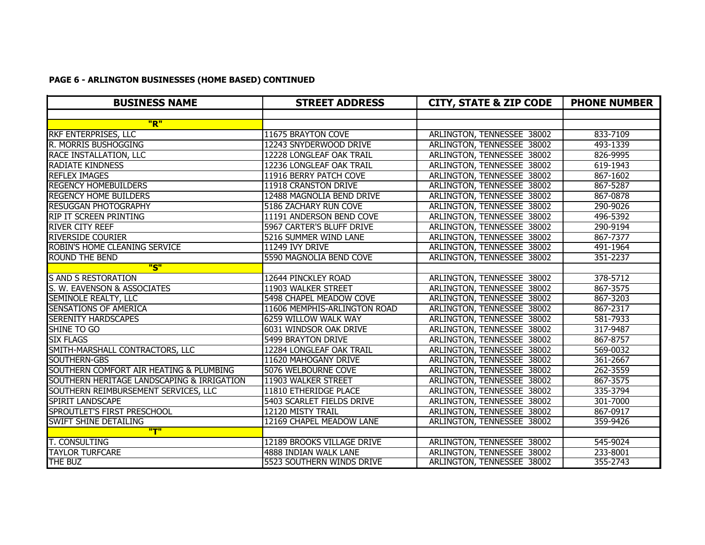#### **PAGE 6 - ARLINGTON BUSINESSES (HOME BASED) CONTINUED**

| <b>BUSINESS NAME</b>                       | <b>STREET ADDRESS</b>        | <b>CITY, STATE &amp; ZIP CODE</b> | <b>PHONE NUMBER</b> |
|--------------------------------------------|------------------------------|-----------------------------------|---------------------|
|                                            |                              |                                   |                     |
| "R"                                        |                              |                                   |                     |
| <b>RKF ENTERPRISES, LLC</b>                | 11675 BRAYTON COVE           | ARLINGTON, TENNESSEE 38002        | 833-7109            |
| R. MORRIS BUSHOGGING                       | 12243 SNYDERWOOD DRIVE       | ARLINGTON, TENNESSEE 38002        | 493-1339            |
| RACE INSTALLATION, LLC                     | 12228 LONGLEAF OAK TRAIL     | ARLINGTON, TENNESSEE 38002        | 826-9995            |
| <b>RADIATE KINDNESS</b>                    | 12236 LONGLEAF OAK TRAIL     | ARLINGTON, TENNESSEE 38002        | 619-1943            |
| <b>REFLEX IMAGES</b>                       | 11916 BERRY PATCH COVE       | ARLINGTON, TENNESSEE 38002        | 867-1602            |
| <b>REGENCY HOMEBUILDERS</b>                | 11918 CRANSTON DRIVE         | ARLINGTON, TENNESSEE 38002        | 867-5287            |
| <b>REGENCY HOME BUILDERS</b>               | 12488 MAGNOLIA BEND DRIVE    | ARLINGTON, TENNESSEE 38002        | 867-0878            |
| <b>RESUGGAN PHOTOGRAPHY</b>                | 5186 ZACHARY RUN COVE        | ARLINGTON, TENNESSEE 38002        | 290-9026            |
| <b>RIP IT SCREEN PRINTING</b>              | 11191 ANDERSON BEND COVE     | ARLINGTON, TENNESSEE 38002        | 496-5392            |
| <b>RIVER CITY REEF</b>                     | 5967 CARTER'S BLUFF DRIVE    | ARLINGTON, TENNESSEE 38002        | 290-9194            |
| <b>RIVERSIDE COURIER</b>                   | 5216 SUMMER WIND LANE        | ARLINGTON, TENNESSEE 38002        | 867-7377            |
| ROBIN'S HOME CLEANING SERVICE              | 11249 IVY DRIVE              | ARLINGTON, TENNESSEE 38002        | 491-1964            |
| <b>ROUND THE BEND</b>                      | 5590 MAGNOLIA BEND COVE      | ARLINGTON, TENNESSEE 38002        | 351-2237            |
| "S"                                        |                              |                                   |                     |
| <b>S AND S RESTORATION</b>                 | 12644 PINCKLEY ROAD          | ARLINGTON, TENNESSEE 38002        | 378-5712            |
| S. W. EAVENSON & ASSOCIATES                | 11903 WALKER STREET          | ARLINGTON, TENNESSEE 38002        | 867-3575            |
| <b>SEMINOLE REALTY, LLC</b>                | 5498 CHAPEL MEADOW COVE      | ARLINGTON, TENNESSEE 38002        | 867-3203            |
| <b>SENSATIONS OF AMERICA</b>               | 11606 MEMPHIS-ARLINGTON ROAD | ARLINGTON, TENNESSEE 38002        | 867-2317            |
| <b>SERENITY HARDSCAPES</b>                 | 6259 WILLOW WALK WAY         | ARLINGTON, TENNESSEE 38002        | 581-7933            |
| <b>SHINE TO GO</b>                         | 6031 WINDSOR OAK DRIVE       | ARLINGTON, TENNESSEE 38002        | 317-9487            |
| <b>SIX FLAGS</b>                           | 5499 BRAYTON DRIVE           | ARLINGTON, TENNESSEE 38002        | 867-8757            |
| SMITH-MARSHALL CONTRACTORS, LLC            | 12284 LONGLEAF OAK TRAIL     | ARLINGTON, TENNESSEE 38002        | 569-0032            |
| SOUTHERN-GBS                               | 11620 MAHOGANY DRIVE         | ARLINGTON, TENNESSEE 38002        | 361-2667            |
| SOUTHERN COMFORT AIR HEATING & PLUMBING    | 5076 WELBOURNE COVE          | ARLINGTON, TENNESSEE 38002        | 262-3559            |
| SOUTHERN HERITAGE LANDSCAPING & IRRIGATION | 11903 WALKER STREET          | ARLINGTON, TENNESSEE 38002        | 867-3575            |
| SOUTHERN REIMBURSEMENT SERVICES, LLC       | 11810 ETHERIDGE PLACE        | ARLINGTON, TENNESSEE 38002        | 335-3794            |
| SPIRIT LANDSCAPE                           | 5403 SCARLET FIELDS DRIVE    | ARLINGTON, TENNESSEE 38002        | 301-7000            |
| SPROUTLET'S FIRST PRESCHOOL                | 12120 MISTY TRAIL            | ARLINGTON, TENNESSEE 38002        | 867-0917            |
| SWIFT SHINE DETAILING                      | 12169 CHAPEL MEADOW LANE     | ARLINGTON, TENNESSEE 38002        | 359-9426            |
| <u>"T"</u>                                 |                              |                                   |                     |
| <b>T. CONSULTING</b>                       | 12189 BROOKS VILLAGE DRIVE   | ARLINGTON, TENNESSEE 38002        | 545-9024            |
| <b>TAYLOR TURFCARE</b>                     | 4888 INDIAN WALK LANE        | ARLINGTON, TENNESSEE 38002        | 233-8001            |
| THE BUZ                                    | 5523 SOUTHERN WINDS DRIVE    | ARLINGTON, TENNESSEE 38002        | 355-2743            |